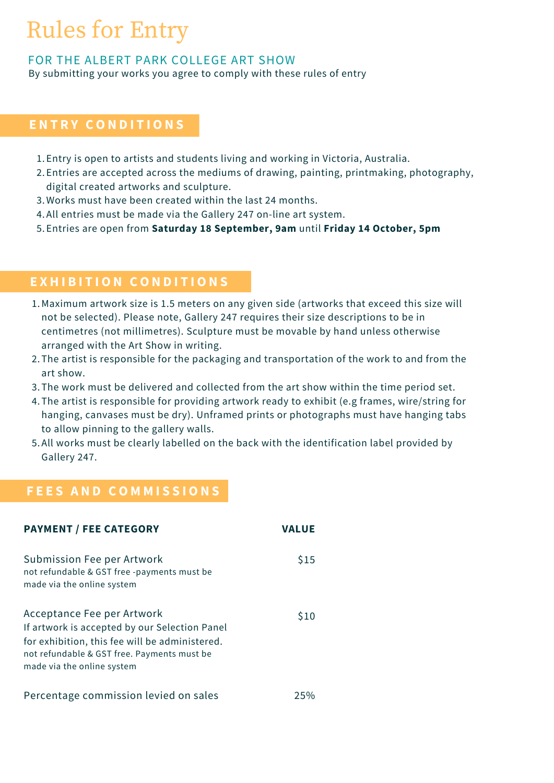# Rules for Entry

## FOR THE ALBERT PARK COLLEGE ART SHOW

By submitting your works you agree to comply with these rules of entry

## **E N T R Y C O N D I T I O N S**

- 1. Entry is open to artists and students living and working in Victoria, Australia.
- Entries are accepted across the mediums of drawing, painting, printmaking, photography, 2. digital created artworks and sculpture.
- 3. Works must have been created within the last 24 months.
- All entries must be made via the [Gallery](https://www.gallery247.com.au/) 247 on-line art system. 4.
- Entries are open from **Saturday 18 September, 9am** until **Friday 14 October, 5pm** 5.

## **E X H I B I T I O N C O N D I T I O N S**

- Maximum artwork size is 1.5 meters on any given side (artworks that exceed this size will 1. not be selected). Please note, Gallery 247 requires their size descriptions to be in centimetres (not millimetres). Sculpture must be movable by hand unless otherwise arranged with the Art Show in writing.
- 2. The artist is responsible for the packaging and transportation of the work to and from the art show.
- 3. The work must be delivered and collected from the art show within the time period set.
- The artist is responsible for providing artwork ready to exhibit (e.g frames, wire/string for 4. hanging, canvases must be dry). Unframed prints or photographs must have hanging tabs to allow pinning to the gallery walls.
- 5. All works must be clearly labelled on the back with the identification label provided by Gallery 247.

## **F E E S A N D C O M M I S S I O N S**

| <b>PAYMENT / FEE CATEGORY</b>                                                                                                                                                                              | <b>VALUE</b> |
|------------------------------------------------------------------------------------------------------------------------------------------------------------------------------------------------------------|--------------|
| Submission Fee per Artwork<br>not refundable & GST free -payments must be<br>made via the online system                                                                                                    | \$15         |
| Acceptance Fee per Artwork<br>If artwork is accepted by our Selection Panel<br>for exhibition, this fee will be administered.<br>not refundable & GST free. Payments must be<br>made via the online system | \$10         |
| Percentage commission levied on sales                                                                                                                                                                      | 25%          |